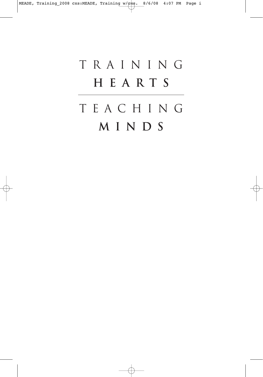### TRAINING **HEARTS**

TEACHING **Minds**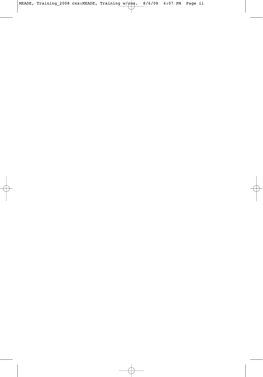$\overline{\oplus}$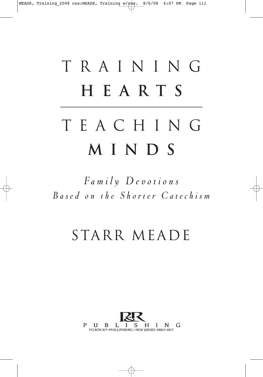MEADE, Training\_2008 cxs: MEADE, Training w/g\*s. 8/6/08 4:07 PM Page iii

# TEACHING **Minds** TRAINING **Hearts**

*Family Devotions B ased o n the Shorter Catechism*

### STARR MEADE

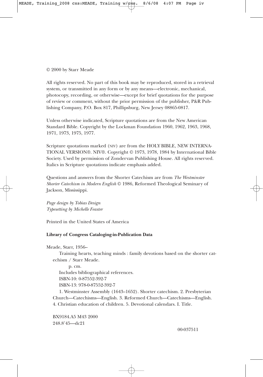© 2000 by Starr Meade

All rights reserved. No part of this book may be reproduced, stored in a retrieval system, or transmitted in any form or by any means—electronic, mechanical, photocopy, recording, or otherwise—except for brief quotations for the purpose of review or comment, without the prior permission of the publisher, P&R Publishing Company, P.O. Box 817, Phillipsburg, New Jersey 08865-0817.

Unless otherwise indicated, Scripture quotations are from the New American Standard Bible. Copyright by the Lockman Foundation 1960, 1962, 1963, 1968, 1971, 1973, 1975, 1977.

Scripture quotations marked (NIV) are from the HOLY BIBLE, NEW INTERNA-TIONAL VERSION®. NIV®. Copyright © 1973, 1978, 1984 by International Bible Society. Used by permission of Zondervan Publishing House. All rights reserved. Italics in Scripture quotations indicate emphasis added.

Questions and answers from the Shorter Catechism are from *The Westminster Shorter Catechism in Modern English* © 1986, Reformed Theological Seminary of Jackson, Mississippi.

*Page design by Tobias Design Typesetting by Michelle Feaster*

Printed in the United States of America

#### **Library of Congress Cataloging-in-Publication Data**

Meade, Starr, 1956–

Training hearts, teaching minds : family devotions based on the shorter catechism / Starr Meade.

p. cm. Includes bibliographical references. ISBN-10: 0-87552-392-7 ISBN-13: 978-0-87552-392-7

1. Westminster Assembly (1643–1652). Shorter catechism. 2. Presbyterian Church—Catechisms—English. 3. Reformed Church—Catechisms—English. 4. Christian education of children. 5. Devotional calendars. I. Title.

BX9184.A5 M43 2000 248.8'45—dc21

00-037511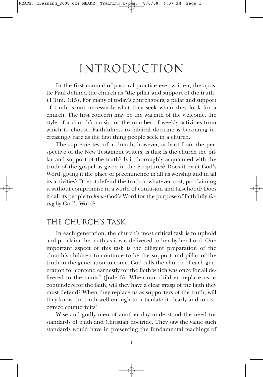<code>MEADE</code>, <code>Training\_2008</code> cxs:MEADE, <code>Training</code> w/ $c\star$ s. 8/6/08  $\,$  4:07 <code>PM </code> <code>Page 1</code>

### INTRODUCTION

In the first manual of pastoral practice ever written, the apostle Paul defined the church as "the pillar and support of the truth" (1 Tim. 3:15). For many of today's churchgoers, a pillar and support of truth is not necessarily what they seek when they look for a church. The first concern may be the warmth of the welcome, the style of a church's music, or the number of weekly activities from which to choose. Faithfulness to biblical doctrine is becoming increasingly rare as the first thing people seek in a church.

The supreme test of a church, however, at least from the perspective of the New Testament writers, is this: Is the church the pillar and support of the truth? Is it thoroughly acquainted with the truth of the gospel as given in the Scriptures? Does it exalt God's Word, giving it the place of preeminence in all its worship and in all its activities? Does it defend the truth at whatever cost, proclaiming it without compromise in a world of confusion and falsehood? Does it call its people to *know* God's Word for the purpose of faithfully *living* by God's Word?

#### The Church's Task

In each generation, the church's most critical task is to uphold and proclaim the truth as it was delivered to her by her Lord. One important aspect of this task is the diligent preparation of the church's children to continue to be the support and pillar of the truth in the generation to come. God calls the church of each generation to "contend earnestly for the faith which was once for all delivered to the saints" (Jude 3). When our children replace us as contenders for the faith, will they have a clear grasp of the faith they must defend? When they replace us as supporters of the truth, will they know the truth well enough to articulate it clearly and to recognize counterfeits?

Wise and godly men of another day understood the need for standards of truth and Christian doctrine. They saw the value such standards would have in presenting the fundamental teachings of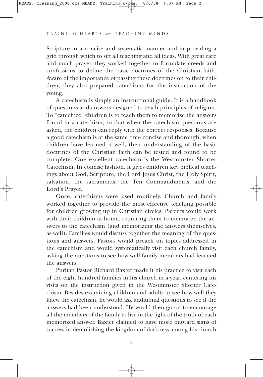Scripture in a concise and systematic manner and in providing a grid through which to sift all teaching and all ideas. With great care and much prayer, they worked together to formulate creeds and confessions to define the basic doctrines of the Christian faith. Aware of the importance of passing these doctrines on to their children, they also prepared catechisms for the instruction of the young.

A catechism is simply an instructional guide. It is a handbook of questions and answers designed to teach principles of religion. To "catechize" children is to teach them to memorize the answers found in a catechism, so that when the catechism questions are asked, the children can reply with the correct responses. Because a good catechism is at the same time concise and thorough, when children have learned it well, their understanding of the basic doctrines of the Christian faith can be tested and found to be complete. One excellent catechism is the Westminster Shorter Catechism. In concise fashion, it gives children key biblical teachings about God, Scripture, the Lord Jesus Christ, the Holy Spirit, salvation, the sacraments, the Ten Commandments, and the Lord's Prayer.

Once, catechisms were used routinely. Church and family worked together to provide the most effective teaching possible for children growing up in Christian circles. Parents would work with their children at home, requiring them to memorize the answers to the catechism (and memorizing the answers themselves, as well). Families would discuss together the meaning of the questions and answers. Pastors would preach on topics addressed in the catechism and would systematically visit each church family, asking the questions to see how well family members had learned the answers.

Puritan Pastor Richard Baxter made it his practice to visit each of the eight hundred families in his church in a year, centering his visits on the instruction given in the Westminster Shorter Catechism. Besides examining children and adults to see how well they knew the catechism, he would ask additional questions to see if the answers had been understood. He would then go on to encourage all the members of the family to live in the light of the truth of each memorized answer. Baxter claimed to have more outward signs of success in demolishing the kingdom of darkness among his church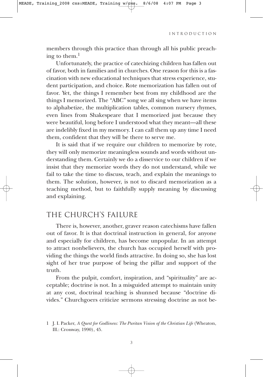i n t r o d u c t i o n

members through this practice than through all his public preaching to them. 1

Unfortunately, the practice of catechizing children has fallen out of favor, both in families and in churches. One reason for this is a fascination with new educational techniques that stress experience, student participation, and choice. Rote memorization has fallen out of favor. Yet, the things I remember best from my childhood are the things I memorized. The "ABC" song we all sing when we have items to alphabetize, the multiplication tables, common nursery rhymes, even lines from Shakespeare that I memorized just because they were beautiful, long before I understood what they meant—all these are indelibly fixed in my memory. I can call them up any time I need them, confident that they will be there to serve me.

It is said that if we require our children to memorize by rote, they will only memorize meaningless sounds and words without understanding them. Certainly we do a disservice to our children if we insist that they memorize words they do not understand, while we fail to take the time to discuss, teach, and explain the meanings to them. The solution, however, is not to discard memorization as a teaching method, but to faithfully supply meaning by discussing and explaining.

#### The Church's Failure

There is, however, another, graver reason catechisms have fallen out of favor. It is that doctrinal instruction in general, for anyone and especially for children, has become unpopular. In an attempt to attract nonbelievers, the church has occupied herself with providing the things the world finds attractive. In doing so, she has lost sight of her true purpose of being the pillar and support of the truth.

From the pulpit, comfort, inspiration, and "spirituality" are acceptable; doctrine is not. In a misguided attempt to maintain unity at any cost, doctrinal teaching is shunned because "doctrine divides." Churchgoers criticize sermons stressing doctrine as not be-

<sup>1</sup> J. I. Packer, *A Quest for Godliness: The Puritan Vision of the Christian Life* (Wheaton, Ill.: Crossway, 1990), 45.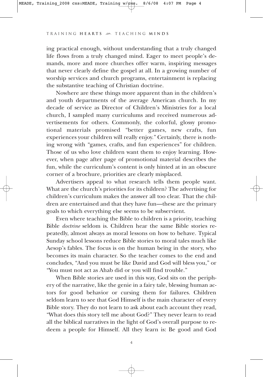ing practical enough, without understanding that a truly changed life flows from a truly changed mind. Eager to meet people's demands, more and more churches offer warm, inspiring messages that never clearly define the gospel at all. In a growing number of worship services and church programs, entertainment is replacing the substantive teaching of Christian doctrine.

Nowhere are these things more apparent than in the children's and youth departments of the average American church. In my decade of service as Director of Children's Ministries for a local church, I sampled many curriculums and received numerous advertisements for others. Commonly, the colorful, glossy promotional materials promised "better games, new crafts, fun experiences your children will really enjoy." Certainly, there is nothing wrong with "games, crafts, and fun experiences" for children. Those of us who love children want them to enjoy learning. However, when page after page of promotional material describes the fun, while the curriculum's content is only hinted at in an obscure corner of a brochure, priorities are clearly misplaced.

Advertisers appeal to what research tells them people want. What are the church's priorities for its children? The advertising for children's curriculum makes the answer all too clear. That the children are entertained and that they have fun—these are the primary goals to which everything else seems to be subservient.

Even where teaching the Bible to children is a priority, teaching Bible *doctrine* seldom is. Children hear the same Bible stories repeatedly, almost always as moral lessons on how to behave. Typical Sunday school lessons reduce Bible stories to moral tales much like Aesop's fables. The focus is on the human being in the story, who becomes its main character. So the teacher comes to the end and concludes, "And you must be like David and God will bless you," or "You must not act as Ahab did or you will find trouble."

When Bible stories are used in this way, God sits on the periphery of the narrative, like the genie in a fairy tale, blessing human actors for good behavior or cursing them for failures. Children seldom learn to see that God Himself is the main character of every Bible story. They do not learn to ask about each account they read, "What does this story tell me about God?" They never learn to read all the biblical narratives in the light of God's overall purpose to redeem a people for Himself. All they learn is: Be good and God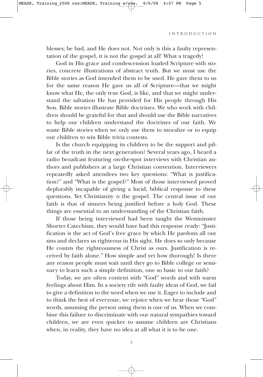i n t r o d u c t i o n

blesses; be bad, and He does not. Not only is this a faulty representation of the gospel, it is not the gospel at all! What a tragedy!

God in His grace and condescension loaded Scripture with stories, concrete illustrations of abstract truth. But we must use the Bible stories as God intended them to be used. He gave them to us for the same reason He gave us all of Scripture—that we might know what He, the only true God, is like, and that we might understand the salvation He has provided for His people through His Son. Bible stories illustrate Bible doctrines. We who work with children should be grateful for that and should use the Bible narratives to help our children understand the doctrines of our faith. We waste Bible stories when we only use them to moralize or to equip our children to win Bible trivia contests.

Is the church equipping its children to be the support and pillar of the truth in the next generation? Several years ago, I heard a radio broadcast featuring on-the-spot interviews with Christian authors and publishers at a large Christian convention. Interviewers repeatedly asked attendees two key questions: "What is justification?" and "What is the gospel?" Most of those interviewed proved deplorably incapable of giving a lucid, biblical response to these questions. Yet Christianity *is* the gospel. The central issue of our faith is that of sinners being justified before a holy God. These things are essential to an understanding of the Christian faith.

If those being interviewed had been taught the Westminster Shorter Catechism, they would have had this response ready: "Justification is the act of God's free grace by which He pardons all our sins and declares us righteous in His sight. He does so only because He counts the righteousness of Christ as ours. Justification is received by faith alone." How simple and yet how thorough! Is there any reason people must wait until they go to Bible college or seminary to learn such a simple definition, one so basic to our faith?

Today, we are often content with "God" words and with warm feelings about Him. In a society rife with faulty ideas of God, we fail to give a definition to the word when we use it. Eager to include and to think the best of everyone, we rejoice when we hear those "God" words, assuming the person using them is one of us. When we combine this failure to discriminate with our natural sympathies toward children, we are even quicker to assume children are Christians when, in reality, they have no idea at all what it is to be one.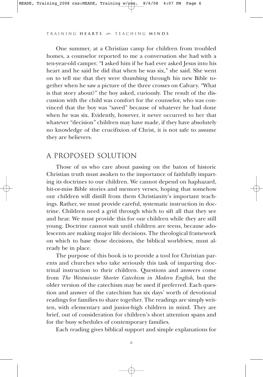One summer, at a Christian camp for children from troubled homes, a counselor reported to me a conversation she had with a ten-year-old camper. "I asked him if he had ever asked Jesus into his heart and he said he did that when he was six," she said. She went on to tell me that they were thumbing through his new Bible together when he saw a picture of the three crosses on Calvary. "What is that story about?" the boy asked, curiously. The result of the discussion with the child was comfort for the counselor, who was convinced that the boy was "saved" because of whatever he had done when he was six. Evidently, however, it never occurred to her that whatever "decision" children may have made, if they have absolutely no knowledge of the crucifixion of Christ, it is not safe to assume they are believers.

#### A Proposed Solution

Those of us who care about passing on the baton of historic Christian truth must awaken to the importance of faithfully imparting its doctrines to our children. We cannot depend on haphazard, hit-or-miss Bible stories and memory verses, hoping that somehow our children will distill from them Christianity's important teachings. Rather, we must provide careful, systematic instruction in doctrine. Children need a grid through which to sift all that they see and hear. We must provide this for our children while they are still young. Doctrine cannot wait until children are teens, because adolescents are making major life decisions. The theological framework on which to base those decisions, the biblical worldview, must already be in place.

The purpose of this book is to provide a tool for Christian parents and churches who take seriously this task of imparting doctrinal instruction to their children. Questions and answers come from *The Westminster Shorter Catechism in Modern English*, but the older version of the catechism may be used if preferred. Each question and answer of the catechism has six days' worth of devotional readings for families to share together. The readings are simply written, with elementary and junior-high children in mind. They are brief, out of consideration for children's short attention spans and for the busy schedules of contemporary families.

Each reading gives biblical support and simple explanations for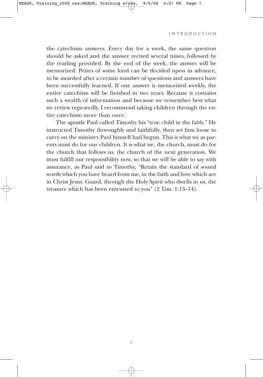i n t r o d u c t i o n

the catechism answers. Every day for a week, the same question should be asked and the answer recited several times, followed by the reading provided. By the end of the week, the answer will be memorized. Prizes of some kind can be decided upon in advance, to be awarded after a certain number of questions and answers have been successfully learned. If one answer is memorized weekly, the entire catechism will be finished in two years. Because it contains such a wealth of information and because we remember best what we review repeatedly, I recommend taking children through the entire catechism more than once.

The apostle Paul called Timothy his "true child in the faith." He instructed Timothy thoroughly and faithfully, then set him loose to carry on the ministry Paul himself had begun. This is what we as parents must do for our children. It is what we, the church, must do for the church that follows us, the church of the next generation. We must fulfill our responsibility now, so that we will be able to say with assurance, as Paul said to Timothy, "Retain the standard of sound words which you have heard from me, in the faith and love which are in Christ Jesus. Guard, through the Holy Spirit who dwells in us, the treasure which has been entrusted to you" (2 Tim. 1:13–14).

7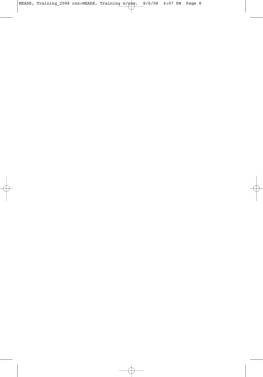$\overline{\oplus}$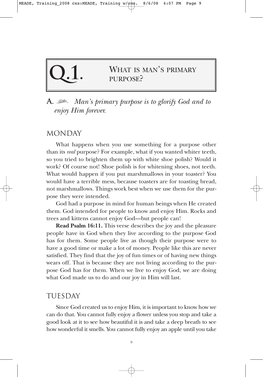MEADE, Training\_2008 cxs:MEADE, Training w/c $\star$ s. 8/6/08  $\,$  4:07 PM  $\,$  Page 9  $\,$ 

### Q.1. WHAT IS MAN'S PRIMARY PURPOSE?

#### *Man's primary purpose is to glorify God and to enjoy Him forever.* **A.** 24,

#### **MONDAY**

What happens when you use something for a purpose other than its *real* purpose? For example, what if you wanted whiter teeth, so you tried to brighten them up with white shoe polish? Would it work? Of course not! Shoe polish is for whitening shoes, not teeth. What would happen if you put marshmallows in your toaster? You would have a terrible mess, because toasters are for toasting bread, not marshmallows. Things work best when we use them for the purpose they were intended.

God had a purpose in mind for human beings when He created them. God intended for people to know and enjoy Him. Rocks and trees and kittens cannot enjoy God—but people can!

**Read Psalm 16:11.** This verse describes the joy and the pleasure people have in God when they live according to the purpose God has for them. Some people live as though their purpose were to have a good time or make a lot of money. People like this are never satisfied. They find that the joy of fun times or of having new things wears off. That is because they are not living according to the purpose God has for them. When we live to enjoy God, we are doing what God made us to do and our joy in Him will last.

#### **TUESDAY**

Since God created us to enjoy Him, it is important to know how we can do that. You cannot fully enjoy a flower unless you stop and take a good look at it to see how beautiful it is and take a deep breath to see how wonderful it smells. You cannot fully enjoy an apple until you take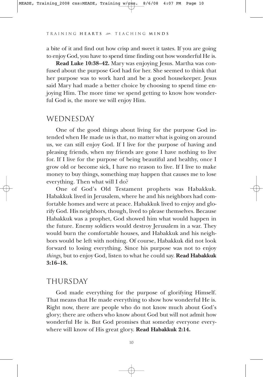a bite of it and find out how crisp and sweet it tastes. If you are going to enjoy God, you have to spend time finding out how wonderful He is.

**Read Luke 10:38–42.** Mary was enjoying Jesus. Martha was confused about the purpose God had for her. She seemed to think that her purpose was to work hard and be a good housekeeper. Jesus said Mary had made a better choice by choosing to spend time enjoying Him. The more time we spend getting to know how wonderful God is, the more we will enjoy Him.

#### WEDNESDAY

One of the good things about living for the purpose God intended when He made us is that, no matter what is going on around us, we can still enjoy God. If I live for the purpose of having and pleasing friends, when my friends are gone I have nothing to live for. If I live for the purpose of being beautiful and healthy, once I grow old or become sick, I have no reason to live. If I live to make money to buy things, something may happen that causes me to lose everything. Then what will I do?

One of God's Old Testament prophets was Habakkuk. Habakkuk lived in Jerusalem, where he and his neighbors had comfortable homes and were at peace. Habakkuk lived to enjoy and glorify God. His neighbors, though, lived to please themselves. Because Habakkuk was a prophet, God showed him what would happen in the future. Enemy soldiers would destroy Jerusalem in a war. They would burn the comfortable houses, and Habakkuk and his neighbors would be left with nothing. Of course, Habakkuk did not look forward to losing everything. Since his purpose was not to enjoy *things,* but to enjoy God, listen to what he could say. **Read Habakkuk 3:16–18.**

#### Thursday

God made everything for the purpose of glorifying Himself. That means that He made everything to show how wonderful He is. Right now, there are people who do not know much about God's glory; there are others who know about God but will not admit how wonderful He is. But God promises that someday everyone everywhere will know of His great glory. **Read Habakkuk 2:14.**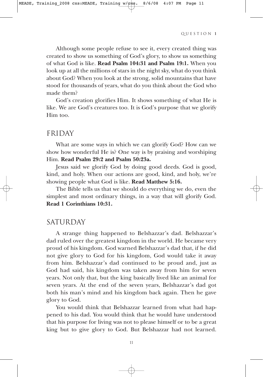q u e s t i o n **1**

Although some people refuse to see it, every created thing was created to show us something of God's glory, to show us something of what God is like. **Read Psalm 104:31 and Psalm 19:1.** When you look up at all the millions of stars in the night sky, what do you think about God? When you look at the strong, solid mountains that have stood for thousands of years, what do you think about the God who made them?

God's creation glorifies Him. It shows something of what He is like. We are God's creatures too. It is God's purpose that we glorify Him too.

#### FRIDAY

What are some ways in which we can glorify God? How can we show how wonderful He is? One way is by praising and worshiping Him. **Read Psalm 29:2 and Psalm 50:23a.**

Jesus said we glorify God by doing good deeds. God is good, kind, and holy. When our actions are good, kind, and holy, we're showing people what God is like. **Read Matthew 5:16.**

The Bible tells us that we should do everything we do, even the simplest and most ordinary things, in a way that will glorify God. **Read 1 Corinthians 10:31.**

#### SATURDAY

A strange thing happened to Belshazzar's dad. Belshazzar's dad ruled over the greatest kingdom in the world. He became very proud of his kingdom. God warned Belshazzar's dad that, if he did not give glory to God for his kingdom, God would take it away from him. Belshazzar's dad continued to be proud and, just as God had said, his kingdom was taken away from him for seven years. Not only that, but the king basically lived like an animal for seven years. At the end of the seven years, Belshazzar's dad got both his man's mind and his kingdom back again. Then he gave glory to God.

You would think that Belshazzar learned from what had happened to his dad. You would think that he would have understood that his purpose for living was not to please himself or to be a great king but to give glory to God. But Belshazzar had not learned.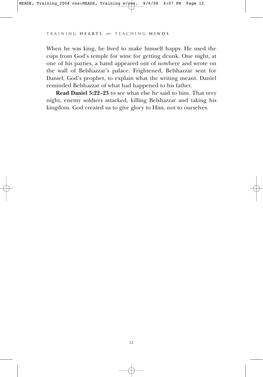When he was king, he lived to make himself happy. He used the cups from God's temple for wine for getting drunk. One night, at one of his parties, a hand appeared out of nowhere and wrote on the wall of Belshazzar's palace. Frightened, Belshazzar sent for Daniel, God's prophet, to explain what the writing meant. Daniel reminded Belshazzar of what had happened to his father.

**Read Daniel 5:22–23** to see what else he said to him. That very night, enemy soldiers attacked, killing Belshazzar and taking his kingdom. God created us to give glory to Him, not to ourselves.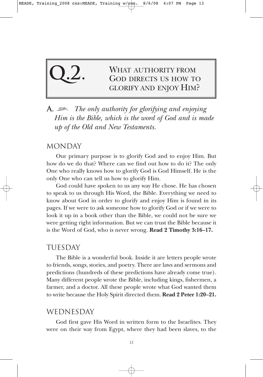MEADE, Training 2008 cxs: MEADE, Training w/ $\varphi$ xs. 8/6/08



#### WHAT AUTHORITY FROM GOD DIRECTS US HOW TO GLORIFY AND ENJOY HIM?

*The only authority for glorifying and enjoying Him is the Bible, which is the word of God and is made up of the Old and New Testaments.*  $A.$   $\mathscr{Q}$ 

#### Monday

Our primary purpose is to glorify God and to enjoy Him. But how do we do that? Where can we find out how to do it? The only One who really knows how to glorify God is God Himself. He is the only One who can tell us how to glorify Him.

God could have spoken to us any way He chose. He has chosen to speak to us through His Word, the Bible. Everything we need to know about God in order to glorify and enjoy Him is found in its pages. If we were to ask someone how to glorify God or if we were to look it up in a book other than the Bible, we could not be sure we were getting right information. But we can trust the Bible because it is the Word of God, who is never wrong. **Read 2 Timothy 3:16–17.**

#### **TUESDAY**

The Bible is a wonderful book. Inside it are letters people wrote to friends, songs, stories, and poetry. There are laws and sermons and predictions (hundreds of these predictions have already come true). Many different people wrote the Bible, including kings, fishermen, a farmer, and a doctor. All these people wrote what God wanted them to write because the Holy Spirit directed them. **Read 2 Peter 1:20–21.**

#### WEDNESDAY

God first gave His Word in written form to the Israelites. They were on their way from Egypt, where they had been slaves, to the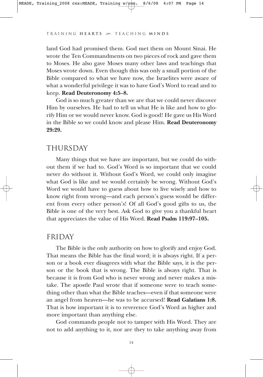land God had promised them. God met them on Mount Sinai. He wrote the Ten Commandments on two pieces of rock and gave them to Moses. He also gave Moses many other laws and teachings that Moses wrote down. Even though this was only a small portion of the Bible compared to what we have now, the Israelites were aware of what a wonderful privilege it was to have God's Word to read and to keep. **Read Deuteronomy 4:5–8.**

God is so much greater than we are that we could never discover Him by ourselves. He had to tell us what He is like and how to glorify Him or we would never know. God is good! He gave us His Word in the Bible so we could know and please Him. **Read Deuteronomy 29:29.**

#### Thursday

Many things that we have are important, but we could do without them if we had to. God's Word is so important that we could never do without it. Without God's Word, we could only imagine what God is like and we would certainly be wrong. Without God's Word we would have to guess about how to live wisely and how to know right from wrong—and each person's guess would be different from every other person's! Of all God's good gifts to us, the Bible is one of the very best. Ask God to give you a thankful heart that appreciates the value of His Word. **Read Psalm 119:97–105.**

#### FRIDAY

The Bible is the only authority on how to glorify and enjoy God. That means the Bible has the final word; it is always right. If a person or a book ever disagrees with what the Bible says, it is the person or the book that is wrong. The Bible is always right. That is because it is from God who is never wrong and never makes a mistake. The apostle Paul wrote that if someone were to teach something other than what the Bible teaches—even if that someone were an angel from heaven—he was to be accursed! **Read Galatians 1:8.** That is how important it is to reverence God's Word as higher and more important than anything else.

God commands people not to tamper with His Word. They are not to add anything to it, nor are they to take anything away from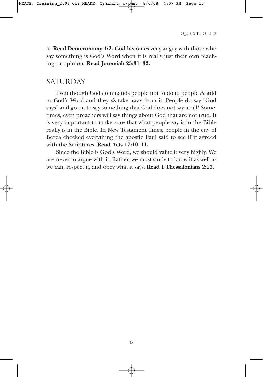q u e s t i o n **2**

it. **Read Deuteronomy 4:2.** God becomes very angry with those who say something is God's Word when it is really just their own teaching or opinion. **Read Jeremiah 23:31–32.**

#### **SATURDAY**

Even though God commands people not to do it, people *do* add to God's Word and they *do* take away from it. People do say "God says" and go on to say something that God does not say at all! Sometimes, even preachers will say things about God that are not true. It is very important to make sure that what people say is in the Bible really is in the Bible. In New Testament times, people in the city of Berea checked everything the apostle Paul said to see if it agreed with the Scriptures. **Read Acts 17:10–11.**

Since the Bible is God's Word, we should value it very highly. We are never to argue with it. Rather, we must study to know it as well as we can, respect it, and obey what it says. **Read 1 Thessalonians 2:13.**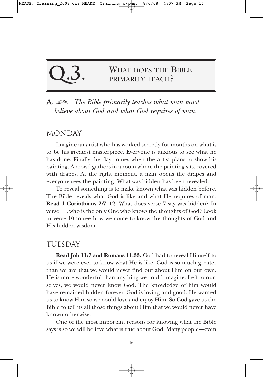MEADE, Training 2008 cxs: MEADE, Training w/ $\varphi$  s. 8/6/08

## Q.3. WHAT DOES THE BIBLE PRIMARILY TEACH?

#### *The Bible primarily teaches what man must believe about God and what God requires of man.*  $A.$   $\mathscr{Q}$

#### **MONDAY**

Imagine an artist who has worked secretly for months on what is to be his greatest masterpiece. Everyone is anxious to see what he has done. Finally the day comes when the artist plans to show his painting. A crowd gathers in a room where the painting sits, covered with drapes. At the right moment, a man opens the drapes and everyone sees the painting. What was hidden has been revealed.

To reveal something is to make known what was hidden before. The Bible reveals what God is like and what He requires of man. **Read 1 Corinthians 2:7–12.** What does verse 7 say was hidden? In verse 11, who is the only One who knows the thoughts of God? Look in verse 10 to see how we come to know the thoughts of God and His hidden wisdom.

#### TUESDAY

**Read Job 11:7 and Romans 11:33.** God had to reveal Himself to us if we were ever to know what He is like. God is so much greater than we are that we would never find out about Him on our own. He is more wonderful than anything we could imagine. Left to ourselves, we would never know God. The knowledge of him would have remained hidden forever. God is loving and good. He wanted us to know Him so we could love and enjoy Him. So God gave us the Bible to tell us all those things about Him that we would never have known otherwise.

One of the most important reasons for knowing what the Bible says is so we will believe what is true about God. Many people—even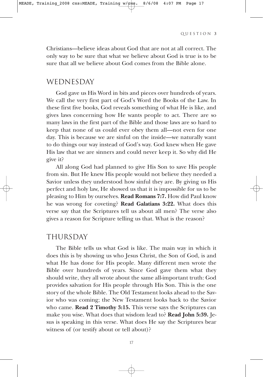q u e s t i o n **3**

Christians—believe ideas about God that are not at all correct. The only way to be sure that what we believe about God is true is to be sure that all we believe about God comes from the Bible alone.

#### Wednesday

God gave us His Word in bits and pieces over hundreds of years. We call the very first part of God's Word the Books of the Law. In these first five books, God reveals something of what He is like, and gives laws concerning how He wants people to act. There are so many laws in the first part of the Bible and those laws are so hard to keep that none of us could ever obey them all—not even for one day. This is because we are sinful on the inside—we naturally want to do things our way instead of God's way. God knew when He gave His law that we are sinners and could never keep it. So why did He give it?

All along God had planned to give His Son to save His people from sin. But He knew His people would not believe they needed a Savior unless they understood how sinful they are. By giving us His perfect and holy law, He showed us that it is impossible for us to be pleasing to Him by ourselves. **Read Romans 7:7.** How did Paul know he was wrong for coveting? **Read Galatians 3:22.** What does this verse say that the Scriptures tell us about all men? The verse also gives a reason for Scripture telling us that. What is the reason?

#### Thursday

The Bible tells us what God is like. The main way in which it does this is by showing us who Jesus Christ, the Son of God, is and what He has done for His people. Many different men wrote the Bible over hundreds of years. Since God gave them what they should write, they all wrote about the same all-important truth: God provides salvation for His people through His Son. This is the one story of the whole Bible. The Old Testament looks ahead to the Savior who was coming; the New Testament looks back to the Savior who came. **Read 2 Timothy 3:15.** This verse says the Scriptures can make you wise. What does that wisdom lead to? **Read John 5:39.** Jesus is speaking in this verse. What does He say the Scriptures bear witness of (or testify about or tell about)?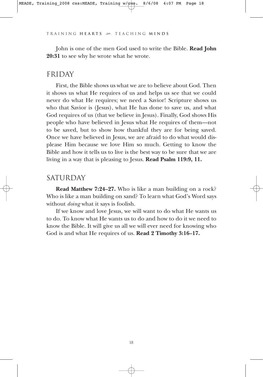John is one of the men God used to write the Bible. **Read John 20:31** to see why he wrote what he wrote.

#### **FRIDAY**

First, the Bible shows us what we are to believe about God. Then it shows us what He requires of us and helps us see that we could never do what He requires; we need a Savior! Scripture shows us who that Savior is (Jesus), what He has done to save us, and what God requires of us (that we believe in Jesus). Finally, God shows His people who have believed in Jesus what He requires of them—not to be saved, but to show how thankful they are for being saved. Once we have believed in Jesus, we are afraid to do what would displease Him because we love Him so much. Getting to know the Bible and how it tells us to live is the best way to be sure that we are living in a way that is pleasing to Jesus. **Read Psalm 119:9, 11.**

#### SATURDAY

**Read Matthew 7:24–27.** Who is like a man building on a rock? Who is like a man building on sand? To learn what God's Word says without *doing* what it says is foolish.

If we know and love Jesus, we will want to do what He wants us to do. To know what He wants us to do and how to do it we need to know the Bible. It will give us all we will ever need for knowing who God is and what He requires of us. **Read 2 Timothy 3:16–17.**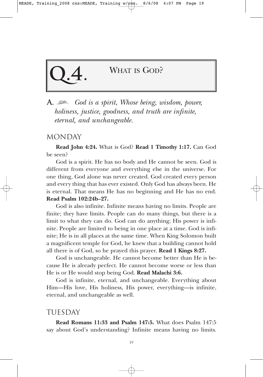MEADE, Training\_2008 cxs: MEADE, Training w/ $\alpha$ s. 8/6/08



*God is a spirit, Whose being, wisdom, power, holiness, justice, goodness, and truth are infinite, eternal, and unchangeable.*  $A. \mathcal{Q}$ 

#### Monday

**Read John 4:24.** What is God? **Read 1 Timothy 1:17.** Can God be seen?

God is a spirit. He has no body and He cannot be seen. God is different from everyone and everything else in the universe. For one thing, God alone was never created. God created every person and every thing that has ever existed. Only God has always been. He is eternal. That means He has no beginning and He has no end. **Read Psalm 102:24b–27.**

God is also infinite. Infinite means having no limits. People are finite; they have limits. People can do many things, but there is a limit to what they can do. God can do anything; His power is infinite. People are limited to being in one place at a time. God is infinite; He is in all places at the same time. When King Solomon built a magnificent temple for God, he knew that a building cannot hold all there is of God, so he prayed this prayer. **Read 1 Kings 8:27.**

God is unchangeable. He cannot become better than He is because He is already perfect. He cannot become worse or less than He is or He would stop being God. **Read Malachi 3:6.**

God is infinite, eternal, and unchangeable. Everything about Him—His love, His holiness, His power, everything—is infinite, eternal, and unchangeable as well.

#### TUESDAY

**Read Romans 11:33 and Psalm 147:5.** What does Psalm 147:5 say about God's understanding? Infinite means having no limits.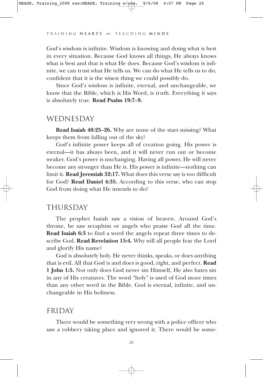God's wisdom is infinite. Wisdom is knowing and doing what is best in every situation. Because God knows all things, He always knows what is best and that is what He does. Because God's wisdom is infinite, we can trust what He tells us. We can do what He tells us to do, confident that it is the wisest thing we could possibly do.

Since God's wisdom is infinite, eternal, and unchangeable, we know that the Bible, which is His Word, is truth. Everything it says is absolutely true. **Read Psalm 19:7–9.**

#### WEDNESDAY

**Read Isaiah 40:25–26.** Why are none of the stars missing? What keeps them from falling out of the sky?

God's infinite power keeps all of creation going. His power is eternal—it has always been, and it will never run out or become weaker. God's power is unchanging. Having all power, He will never become any stronger than He is. His power is infinite—nothing can limit it. **Read Jeremiah 32:17.** What does this verse say is too difficult for God? **Read Daniel 4:35.** According to this verse, who can stop God from doing what He intends to do?

#### Thursday

The prophet Isaiah saw a vision of heaven. Around God's throne, he saw seraphim or angels who praise God all the time. **Read Isaiah 6:3** to find a word the angels repeat three times to describe God. **Read Revelation 15:4.** Why will all people fear the Lord and glorify His name?

God is absolutely holy. He never thinks, speaks, or does anything that is evil. All that God is and does is good, right, and perfect. **Read 1 John 1:5.** Not only does God never sin Himself, He also hates sin in any of His creatures. The word "holy" is used of God more times than any other word in the Bible. God is eternal, infinite, and unchangeable in His holiness.

#### FRIDAY

There would be something very wrong with a police officer who saw a robbery taking place and ignored it. There would be some-